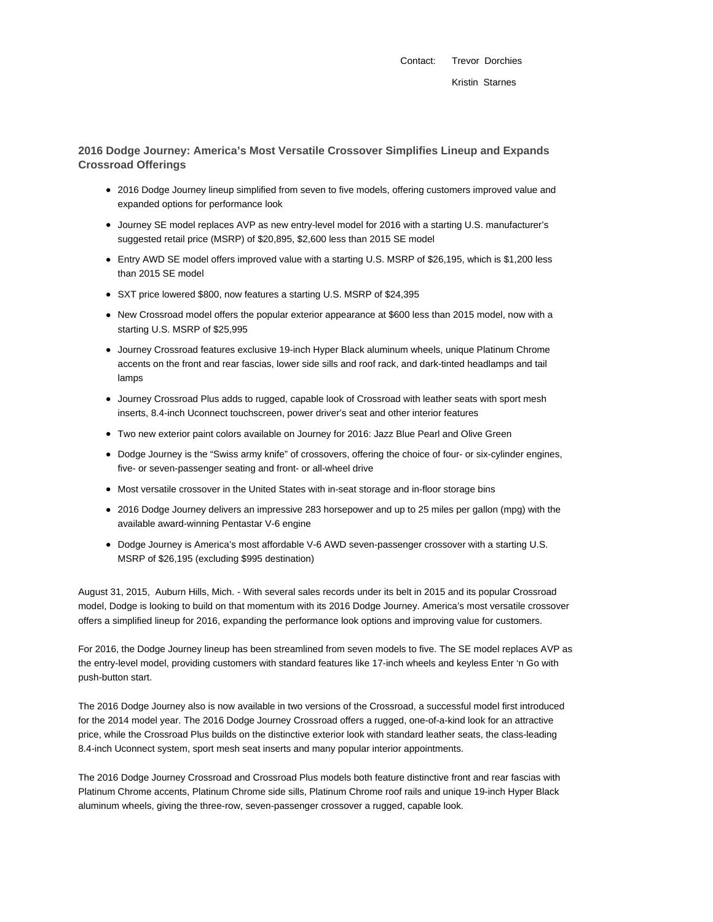Contact: Trevor Dorchies Kristin Starnes

**2016 Dodge Journey: America's Most Versatile Crossover Simplifies Lineup and Expands Crossroad Offerings**

- 2016 Dodge Journey lineup simplified from seven to five models, offering customers improved value and expanded options for performance look
- Journey SE model replaces AVP as new entry-level model for 2016 with a starting U.S. manufacturer's suggested retail price (MSRP) of \$20,895, \$2,600 less than 2015 SE model
- Entry AWD SE model offers improved value with a starting U.S. MSRP of \$26,195, which is \$1,200 less than 2015 SE model
- SXT price lowered \$800, now features a starting U.S. MSRP of \$24,395
- New Crossroad model offers the popular exterior appearance at \$600 less than 2015 model, now with a starting U.S. MSRP of \$25,995
- Journey Crossroad features exclusive 19-inch Hyper Black aluminum wheels, unique Platinum Chrome accents on the front and rear fascias, lower side sills and roof rack, and dark-tinted headlamps and tail lamps
- Journey Crossroad Plus adds to rugged, capable look of Crossroad with leather seats with sport mesh inserts, 8.4-inch Uconnect touchscreen, power driver's seat and other interior features
- Two new exterior paint colors available on Journey for 2016: Jazz Blue Pearl and Olive Green
- Dodge Journey is the "Swiss army knife" of crossovers, offering the choice of four- or six-cylinder engines, five- or seven-passenger seating and front- or all-wheel drive
- Most versatile crossover in the United States with in-seat storage and in-floor storage bins
- 2016 Dodge Journey delivers an impressive 283 horsepower and up to 25 miles per gallon (mpg) with the available award-winning Pentastar V-6 engine
- Dodge Journey is America's most affordable V-6 AWD seven-passenger crossover with a starting U.S. MSRP of \$26,195 (excluding \$995 destination)

August 31, 2015, Auburn Hills, Mich. - With several sales records under its belt in 2015 and its popular Crossroad model, Dodge is looking to build on that momentum with its 2016 Dodge Journey. America's most versatile crossover offers a simplified lineup for 2016, expanding the performance look options and improving value for customers.

For 2016, the Dodge Journey lineup has been streamlined from seven models to five. The SE model replaces AVP as the entry-level model, providing customers with standard features like 17-inch wheels and keyless Enter 'n Go with push-button start.

The 2016 Dodge Journey also is now available in two versions of the Crossroad, a successful model first introduced for the 2014 model year. The 2016 Dodge Journey Crossroad offers a rugged, one-of-a-kind look for an attractive price, while the Crossroad Plus builds on the distinctive exterior look with standard leather seats, the class-leading 8.4-inch Uconnect system, sport mesh seat inserts and many popular interior appointments.

The 2016 Dodge Journey Crossroad and Crossroad Plus models both feature distinctive front and rear fascias with Platinum Chrome accents, Platinum Chrome side sills, Platinum Chrome roof rails and unique 19-inch Hyper Black aluminum wheels, giving the three-row, seven-passenger crossover a rugged, capable look.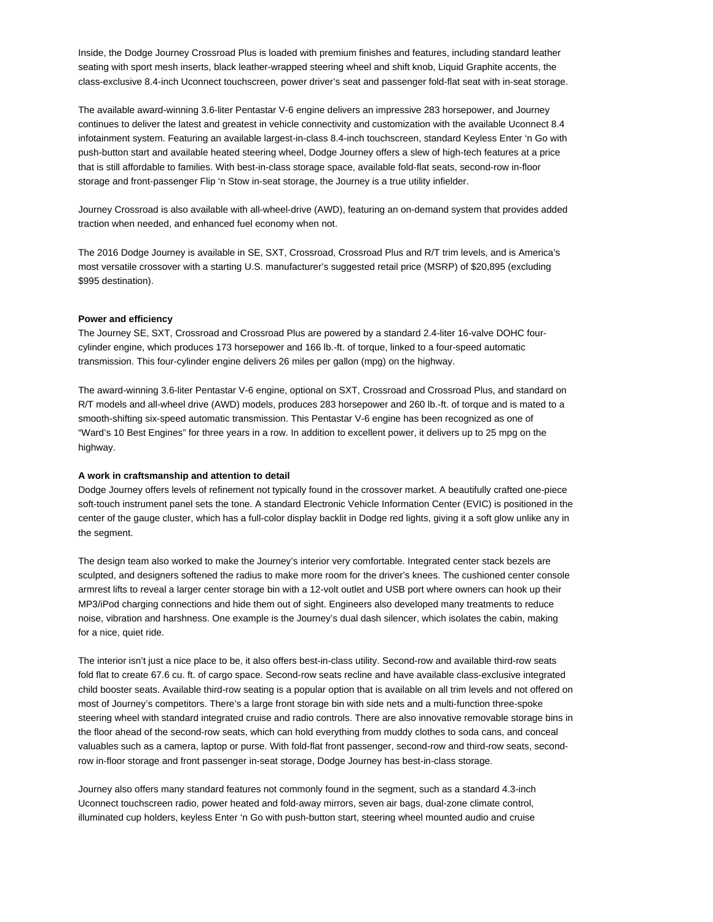Inside, the Dodge Journey Crossroad Plus is loaded with premium finishes and features, including standard leather seating with sport mesh inserts, black leather-wrapped steering wheel and shift knob, Liquid Graphite accents, the class-exclusive 8.4-inch Uconnect touchscreen, power driver's seat and passenger fold-flat seat with in-seat storage.

The available award-winning 3.6-liter Pentastar V-6 engine delivers an impressive 283 horsepower, and Journey continues to deliver the latest and greatest in vehicle connectivity and customization with the available Uconnect 8.4 infotainment system. Featuring an available largest-in-class 8.4-inch touchscreen, standard Keyless Enter 'n Go with push-button start and available heated steering wheel, Dodge Journey offers a slew of high-tech features at a price that is still affordable to families. With best-in-class storage space, available fold-flat seats, second-row in-floor storage and front-passenger Flip 'n Stow in-seat storage, the Journey is a true utility infielder.

Journey Crossroad is also available with all-wheel-drive (AWD), featuring an on-demand system that provides added traction when needed, and enhanced fuel economy when not.

The 2016 Dodge Journey is available in SE, SXT, Crossroad, Crossroad Plus and R/T trim levels, and is America's most versatile crossover with a starting U.S. manufacturer's suggested retail price (MSRP) of \$20,895 (excluding \$995 destination).

#### **Power and efficiency**

The Journey SE, SXT, Crossroad and Crossroad Plus are powered by a standard 2.4-liter 16-valve DOHC fourcylinder engine, which produces 173 horsepower and 166 lb.-ft. of torque, linked to a four-speed automatic transmission. This four-cylinder engine delivers 26 miles per gallon (mpg) on the highway.

The award-winning 3.6-liter Pentastar V-6 engine, optional on SXT, Crossroad and Crossroad Plus, and standard on R/T models and all-wheel drive (AWD) models, produces 283 horsepower and 260 lb.-ft. of torque and is mated to a smooth-shifting six-speed automatic transmission. This Pentastar V-6 engine has been recognized as one of "Ward's 10 Best Engines" for three years in a row. In addition to excellent power, it delivers up to 25 mpg on the highway.

#### **A work in craftsmanship and attention to detail**

Dodge Journey offers levels of refinement not typically found in the crossover market. A beautifully crafted one-piece soft-touch instrument panel sets the tone. A standard Electronic Vehicle Information Center (EVIC) is positioned in the center of the gauge cluster, which has a full-color display backlit in Dodge red lights, giving it a soft glow unlike any in the segment.

The design team also worked to make the Journey's interior very comfortable. Integrated center stack bezels are sculpted, and designers softened the radius to make more room for the driver's knees. The cushioned center console armrest lifts to reveal a larger center storage bin with a 12-volt outlet and USB port where owners can hook up their MP3/iPod charging connections and hide them out of sight. Engineers also developed many treatments to reduce noise, vibration and harshness. One example is the Journey's dual dash silencer, which isolates the cabin, making for a nice, quiet ride.

The interior isn't just a nice place to be, it also offers best-in-class utility. Second-row and available third-row seats fold flat to create 67.6 cu. ft. of cargo space. Second-row seats recline and have available class-exclusive integrated child booster seats. Available third-row seating is a popular option that is available on all trim levels and not offered on most of Journey's competitors. There's a large front storage bin with side nets and a multi-function three-spoke steering wheel with standard integrated cruise and radio controls. There are also innovative removable storage bins in the floor ahead of the second-row seats, which can hold everything from muddy clothes to soda cans, and conceal valuables such as a camera, laptop or purse. With fold-flat front passenger, second-row and third-row seats, secondrow in-floor storage and front passenger in-seat storage, Dodge Journey has best-in-class storage.

Journey also offers many standard features not commonly found in the segment, such as a standard 4.3-inch Uconnect touchscreen radio, power heated and fold-away mirrors, seven air bags, dual-zone climate control, illuminated cup holders, keyless Enter 'n Go with push-button start, steering wheel mounted audio and cruise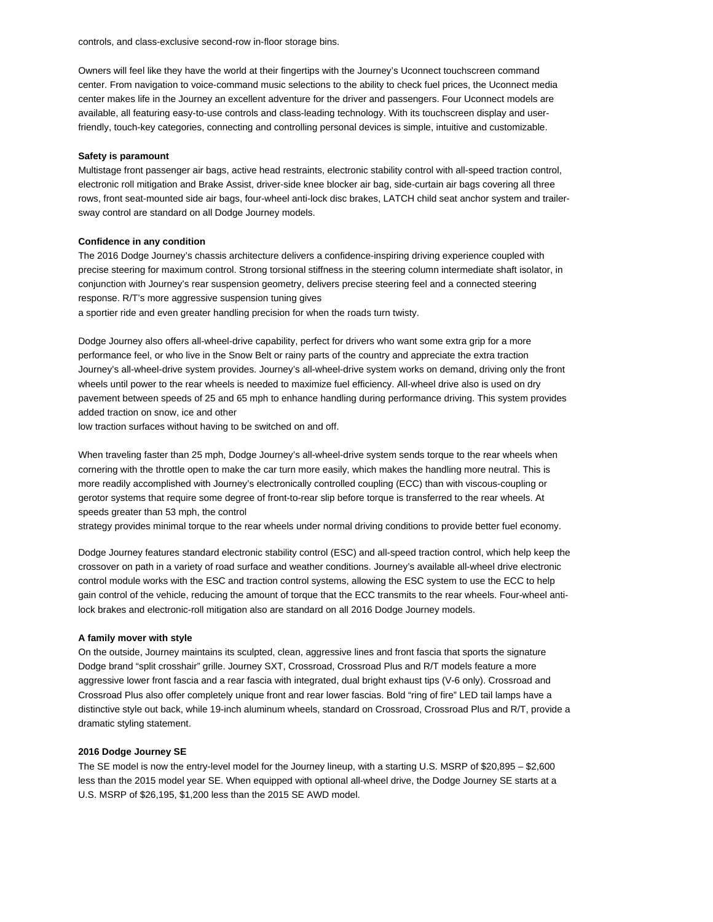controls, and class-exclusive second-row in-floor storage bins.

Owners will feel like they have the world at their fingertips with the Journey's Uconnect touchscreen command center. From navigation to voice-command music selections to the ability to check fuel prices, the Uconnect media center makes life in the Journey an excellent adventure for the driver and passengers. Four Uconnect models are available, all featuring easy-to-use controls and class-leading technology. With its touchscreen display and userfriendly, touch-key categories, connecting and controlling personal devices is simple, intuitive and customizable.

#### **Safety is paramount**

Multistage front passenger air bags, active head restraints, electronic stability control with all-speed traction control, electronic roll mitigation and Brake Assist, driver-side knee blocker air bag, side-curtain air bags covering all three rows, front seat-mounted side air bags, four-wheel anti-lock disc brakes, LATCH child seat anchor system and trailersway control are standard on all Dodge Journey models.

### **Confidence in any condition**

The 2016 Dodge Journey's chassis architecture delivers a confidence-inspiring driving experience coupled with precise steering for maximum control. Strong torsional stiffness in the steering column intermediate shaft isolator, in conjunction with Journey's rear suspension geometry, delivers precise steering feel and a connected steering response. R/T's more aggressive suspension tuning gives a sportier ride and even greater handling precision for when the roads turn twisty.

Dodge Journey also offers all-wheel-drive capability, perfect for drivers who want some extra grip for a more performance feel, or who live in the Snow Belt or rainy parts of the country and appreciate the extra traction Journey's all-wheel-drive system provides. Journey's all-wheel-drive system works on demand, driving only the front wheels until power to the rear wheels is needed to maximize fuel efficiency. All-wheel drive also is used on dry pavement between speeds of 25 and 65 mph to enhance handling during performance driving. This system provides added traction on snow, ice and other

low traction surfaces without having to be switched on and off.

When traveling faster than 25 mph, Dodge Journey's all-wheel-drive system sends torque to the rear wheels when cornering with the throttle open to make the car turn more easily, which makes the handling more neutral. This is more readily accomplished with Journey's electronically controlled coupling (ECC) than with viscous-coupling or gerotor systems that require some degree of front-to-rear slip before torque is transferred to the rear wheels. At speeds greater than 53 mph, the control

strategy provides minimal torque to the rear wheels under normal driving conditions to provide better fuel economy.

Dodge Journey features standard electronic stability control (ESC) and all-speed traction control, which help keep the crossover on path in a variety of road surface and weather conditions. Journey's available all-wheel drive electronic control module works with the ESC and traction control systems, allowing the ESC system to use the ECC to help gain control of the vehicle, reducing the amount of torque that the ECC transmits to the rear wheels. Four-wheel antilock brakes and electronic-roll mitigation also are standard on all 2016 Dodge Journey models.

#### **A family mover with style**

On the outside, Journey maintains its sculpted, clean, aggressive lines and front fascia that sports the signature Dodge brand "split crosshair" grille. Journey SXT, Crossroad, Crossroad Plus and R/T models feature a more aggressive lower front fascia and a rear fascia with integrated, dual bright exhaust tips (V-6 only). Crossroad and Crossroad Plus also offer completely unique front and rear lower fascias. Bold "ring of fire" LED tail lamps have a distinctive style out back, while 19-inch aluminum wheels, standard on Crossroad, Crossroad Plus and R/T, provide a dramatic styling statement.

## **2016 Dodge Journey SE**

The SE model is now the entry-level model for the Journey lineup, with a starting U.S. MSRP of \$20,895 – \$2,600 less than the 2015 model year SE. When equipped with optional all-wheel drive, the Dodge Journey SE starts at a U.S. MSRP of \$26,195, \$1,200 less than the 2015 SE AWD model.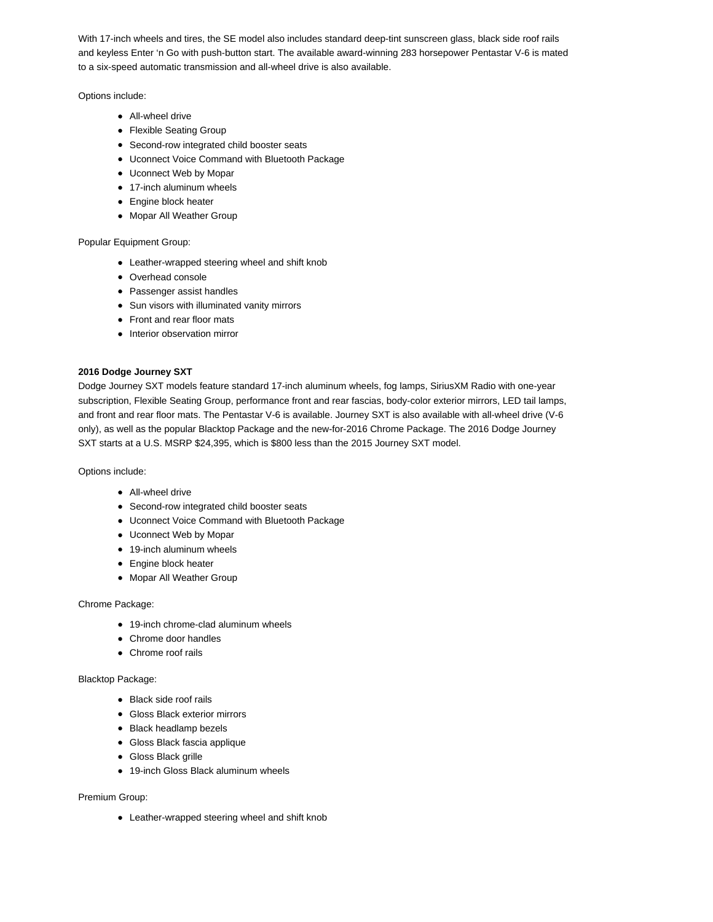With 17-inch wheels and tires, the SE model also includes standard deep-tint sunscreen glass, black side roof rails and keyless Enter 'n Go with push-button start. The available award-winning 283 horsepower Pentastar V-6 is mated to a six-speed automatic transmission and all-wheel drive is also available.

Options include:

- All-wheel drive
- Flexible Seating Group
- Second-row integrated child booster seats
- Uconnect Voice Command with Bluetooth Package
- Uconnect Web by Mopar
- 17-inch aluminum wheels
- Engine block heater
- Mopar All Weather Group

Popular Equipment Group:

- Leather-wrapped steering wheel and shift knob
- Overhead console
- Passenger assist handles
- Sun visors with illuminated vanity mirrors
- Front and rear floor mats
- Interior observation mirror

# **2016 Dodge Journey SXT**

Dodge Journey SXT models feature standard 17-inch aluminum wheels, fog lamps, SiriusXM Radio with one-year subscription, Flexible Seating Group, performance front and rear fascias, body-color exterior mirrors, LED tail lamps, and front and rear floor mats. The Pentastar V-6 is available. Journey SXT is also available with all-wheel drive (V-6 only), as well as the popular Blacktop Package and the new-for-2016 Chrome Package. The 2016 Dodge Journey SXT starts at a U.S. MSRP \$24,395, which is \$800 less than the 2015 Journey SXT model.

Options include:

- All-wheel drive
- Second-row integrated child booster seats
- Uconnect Voice Command with Bluetooth Package
- Uconnect Web by Mopar
- 19-inch aluminum wheels
- Engine block heater
- Mopar All Weather Group

Chrome Package:

- 19-inch chrome-clad aluminum wheels
- Chrome door handles
- Chrome roof rails

# Blacktop Package:

- Black side roof rails
- Gloss Black exterior mirrors
- Black headlamp bezels
- Gloss Black fascia applique
- Gloss Black grille
- 19-inch Gloss Black aluminum wheels

## Premium Group:

• Leather-wrapped steering wheel and shift knob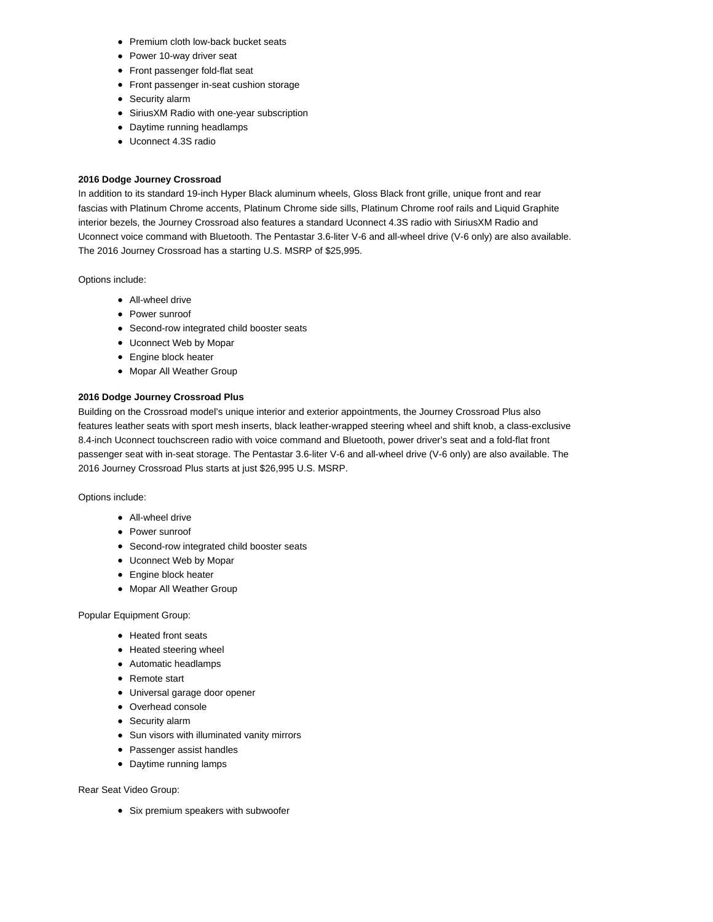- Premium cloth low-back bucket seats
- Power 10-way driver seat
- Front passenger fold-flat seat
- Front passenger in-seat cushion storage
- Security alarm
- SiriusXM Radio with one-year subscription
- Daytime running headlamps
- Uconnect 4.3S radio

# **2016 Dodge Journey Crossroad**

In addition to its standard 19-inch Hyper Black aluminum wheels, Gloss Black front grille, unique front and rear fascias with Platinum Chrome accents, Platinum Chrome side sills, Platinum Chrome roof rails and Liquid Graphite interior bezels, the Journey Crossroad also features a standard Uconnect 4.3S radio with SiriusXM Radio and Uconnect voice command with Bluetooth. The Pentastar 3.6-liter V-6 and all-wheel drive (V-6 only) are also available. The 2016 Journey Crossroad has a starting U.S. MSRP of \$25,995.

Options include:

- **All-wheel drive**
- Power sunroof
- Second-row integrated child booster seats
- Uconnect Web by Mopar
- Engine block heater
- Mopar All Weather Group

# **2016 Dodge Journey Crossroad Plus**

Building on the Crossroad model's unique interior and exterior appointments, the Journey Crossroad Plus also features leather seats with sport mesh inserts, black leather-wrapped steering wheel and shift knob, a class-exclusive 8.4-inch Uconnect touchscreen radio with voice command and Bluetooth, power driver's seat and a fold-flat front passenger seat with in-seat storage. The Pentastar 3.6-liter V-6 and all-wheel drive (V-6 only) are also available. The 2016 Journey Crossroad Plus starts at just \$26,995 U.S. MSRP.

Options include:

- All-wheel drive
- Power sunroof
- Second-row integrated child booster seats
- Uconnect Web by Mopar
- Engine block heater
- Mopar All Weather Group

Popular Equipment Group:

- Heated front seats
- Heated steering wheel
- Automatic headlamps
- Remote start
- Universal garage door opener
- Overhead console
- Security alarm
- Sun visors with illuminated vanity mirrors
- Passenger assist handles
- Daytime running lamps

Rear Seat Video Group:

• Six premium speakers with subwoofer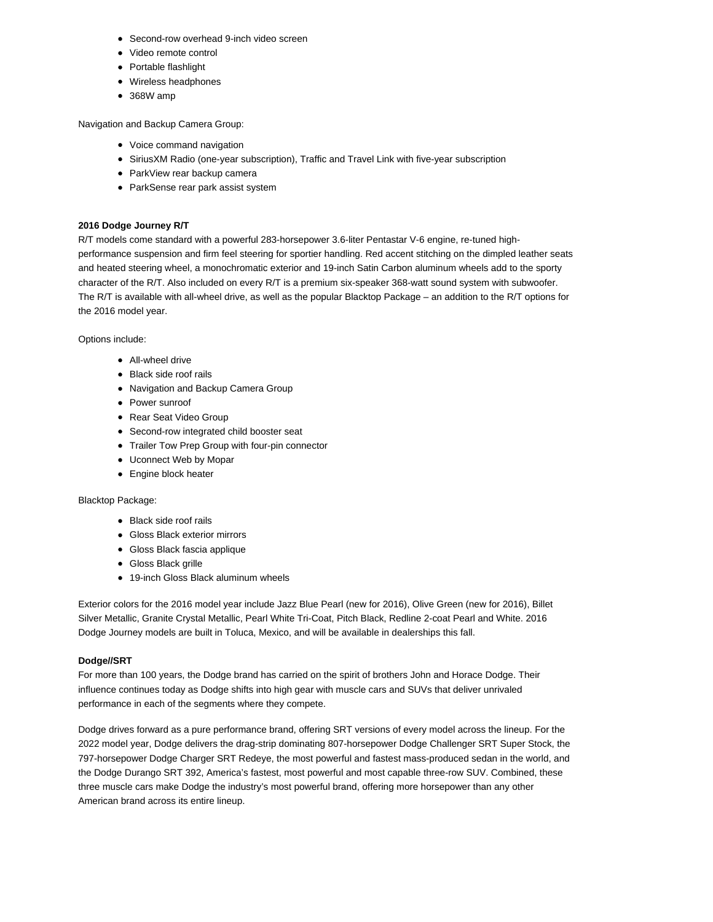- Second-row overhead 9-inch video screen
- Video remote control
- Portable flashlight
- Wireless headphones
- 368W amp

Navigation and Backup Camera Group:

- Voice command navigation
- SiriusXM Radio (one-year subscription), Traffic and Travel Link with five-year subscription
- ParkView rear backup camera
- ParkSense rear park assist system

# **2016 Dodge Journey R/T**

R/T models come standard with a powerful 283-horsepower 3.6-liter Pentastar V-6 engine, re-tuned highperformance suspension and firm feel steering for sportier handling. Red accent stitching on the dimpled leather seats and heated steering wheel, a monochromatic exterior and 19-inch Satin Carbon aluminum wheels add to the sporty character of the R/T. Also included on every R/T is a premium six-speaker 368-watt sound system with subwoofer. The R/T is available with all-wheel drive, as well as the popular Blacktop Package – an addition to the R/T options for the 2016 model year.

Options include:

- All-wheel drive
- Black side roof rails
- Navigation and Backup Camera Group
- Power sunroof
- Rear Seat Video Group
- Second-row integrated child booster seat
- Trailer Tow Prep Group with four-pin connector
- Uconnect Web by Mopar
- Engine block heater

## Blacktop Package:

- Black side roof rails
- Gloss Black exterior mirrors
- Gloss Black fascia applique
- Gloss Black grille
- 19-inch Gloss Black aluminum wheels

Exterior colors for the 2016 model year include Jazz Blue Pearl (new for 2016), Olive Green (new for 2016), Billet Silver Metallic, Granite Crystal Metallic, Pearl White Tri-Coat, Pitch Black, Redline 2-coat Pearl and White. 2016 Dodge Journey models are built in Toluca, Mexico, and will be available in dealerships this fall.

## **Dodge//SRT**

For more than 100 years, the Dodge brand has carried on the spirit of brothers John and Horace Dodge. Their influence continues today as Dodge shifts into high gear with muscle cars and SUVs that deliver unrivaled performance in each of the segments where they compete.

Dodge drives forward as a pure performance brand, offering SRT versions of every model across the lineup. For the 2022 model year, Dodge delivers the drag-strip dominating 807-horsepower Dodge Challenger SRT Super Stock, the 797-horsepower Dodge Charger SRT Redeye, the most powerful and fastest mass-produced sedan in the world, and the Dodge Durango SRT 392, America's fastest, most powerful and most capable three-row SUV. Combined, these three muscle cars make Dodge the industry's most powerful brand, offering more horsepower than any other American brand across its entire lineup.